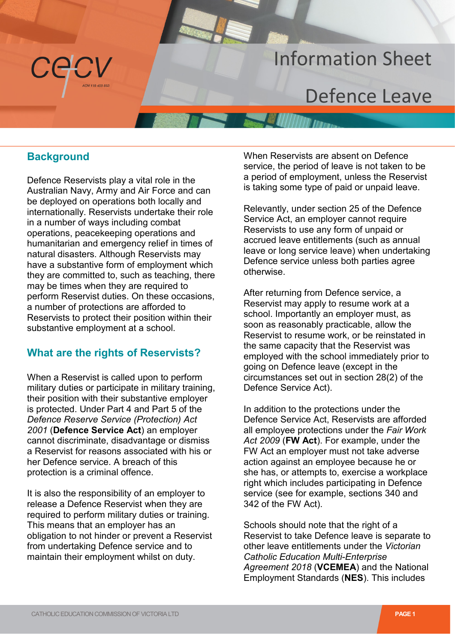# Information Sheet Information Sheet

# Defence Leave Defence Leave

Australian Navy, Army and Air Force and can be deployed on operations both locally and internationally. Reservists undertake their role in a number of ways including combat operations, peacekeeping operations and humanitarian and emergency relief in times of natural disasters. Although Reservists may have a substantive form of employment which they are committed to, such as teaching, there may be times when they are required to perform Reservist duties. On these occasions, a number of protections are afforded to Reservists to protect their position within their substantive employment at a school.

### **What are the rights of Reservists?**

When a Reservist is called upon to perform military duties or participate in military training, their position with their substantive employer is protected. Under Part 4 and Part 5 of the *Defence Reserve Service (Protection) Act 2001* (**Defence Service Act**) an employer cannot discriminate, disadvantage or dismiss a Reservist for reasons associated with his or her Defence service. A breach of this protection is a criminal offence.

It is also the responsibility of an employer to release a Defence Reservist when they are required to perform military duties or training. This means that an employer has an obligation to not hinder or prevent a Reservist from undertaking Defence service and to maintain their employment whilst on duty.

 **Background**  Defence Reservists play a vital role in the When Reservists are absent on Defence service, the period of leave is not taken to be service, the period of leave is not taken to be<br>a period of employment, unless the Reservist is taking some type of paid or unpaid leave.

> Relevantly, under section 25 of the Defence Service Act, an employer cannot require Reservists to use any form of unpaid or accrued leave entitlements (such as annual leave or long service leave) when undertaking Defence service unless both parties agree otherwise.

> After returning from Defence service, a Reservist may apply to resume work at a school. Importantly an employer must, as soon as reasonably practicable, allow the Reservist to resume work, or be reinstated in the same capacity that the Reservist was employed with the school immediately prior to going on Defence leave (except in the circumstances set out in section 28(2) of the Defence Service Act).

> In addition to the protections under the Defence Service Act, Reservists are afforded all employee protections under the *Fair Work Act 2009* (**FW Act**). For example, under the FW Act an employer must not take adverse action against an employee because he or she has, or attempts to, exercise a workplace right which includes participating in Defence service (see for example, sections 340 and 342 of the FW Act).

Schools should note that the right of a Reservist to take Defence leave is separate to other leave entitlements under the *Victorian Catholic Education Multi-Enterprise Agreement 2018* (**VCEMEA**) and the National Employment Standards (**NES**). This includes